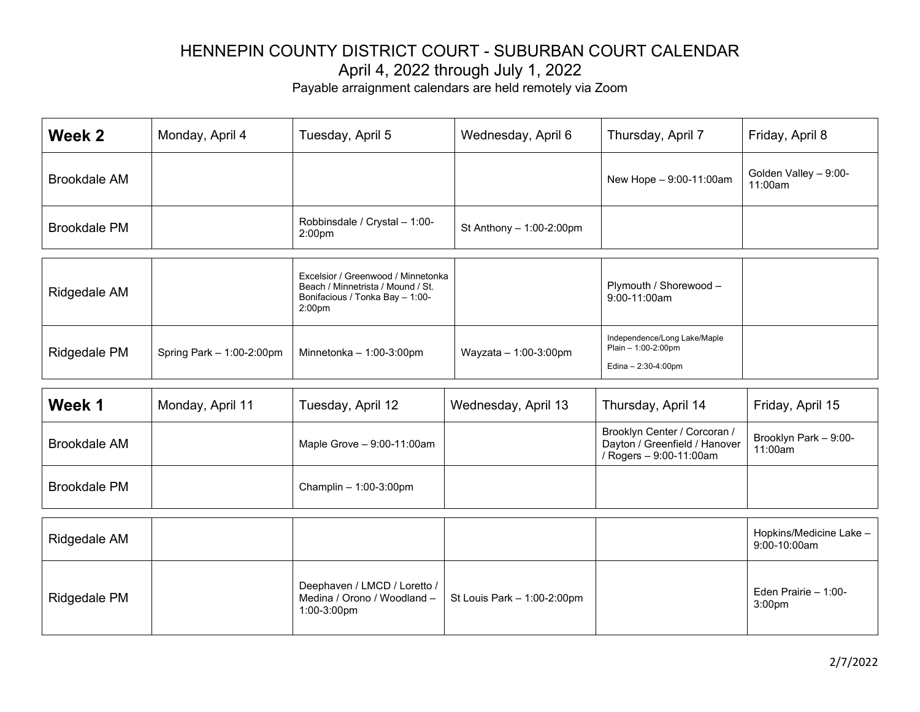Payable arraignment calendars are held remotely via Zoom

| Week 2              | Monday, April 4 | Tuesday, April 5                                                                                                                 | Wednesday, April 6         | Thursday, April 7                      | Friday, April 8                  |
|---------------------|-----------------|----------------------------------------------------------------------------------------------------------------------------------|----------------------------|----------------------------------------|----------------------------------|
| <b>Brookdale AM</b> |                 |                                                                                                                                  |                            | New Hope - 9:00-11:00am                | Golden Valley - 9:00-<br>11:00am |
| <b>Brookdale PM</b> |                 | Robbinsdale / Crystal - 1:00-<br>2:00 <sub>pm</sub>                                                                              | St Anthony $-1:00-2:00$ pm |                                        |                                  |
| Ridgedale AM        |                 | Excelsior / Greenwood / Minnetonka<br>Beach / Minnetrista / Mound / St.<br>Bonifacious / Tonka Bay - 1:00-<br>2:00 <sub>pm</sub> |                            | Plymouth / Shorewood -<br>9:00-11:00am |                                  |
|                     |                 |                                                                                                                                  |                            | Independence/Long Lake/Maple           |                                  |

| Week 1              | Monday, April 11 | Tuesday, April 12            | Wednesday, April 13 | Thursday, April 14                                                                       | Friday, April 15                 |
|---------------------|------------------|------------------------------|---------------------|------------------------------------------------------------------------------------------|----------------------------------|
| <b>Brookdale AM</b> |                  | Maple Grove $-9:00-11:00$ am |                     | Brooklyn Center / Corcoran /<br>Dayton / Greenfield / Hanover<br>/ Rogers - 9:00-11:00am | Brooklyn Park - 9:00-<br>11:00am |
| <b>Brookdale PM</b> |                  | Champlin $-1:00-3:00$ pm     |                     |                                                                                          |                                  |

Plain – 1:00-2:00pm Edina – 2:30-4:00pm

Ridgedale PM  $\vert$  Spring Park – 1:00-2:00pm  $\vert$  Minnetonka – 1:00-3:00pm  $\vert$  Wayzata – 1:00-3:00pm

| Ridgedale AM |                                                                                                            |  | Hopkins/Medicine Lake -<br>9:00-10:00am     |
|--------------|------------------------------------------------------------------------------------------------------------|--|---------------------------------------------|
| Ridgedale PM | Deephaven / LMCD / Loretto /<br>Medina / Orono / Woodland $-$ St Louis Park $-$ 1:00-2:00pm<br>1:00-3:00pm |  | Eden Prairie $-1:00-$<br>3:00 <sub>pm</sub> |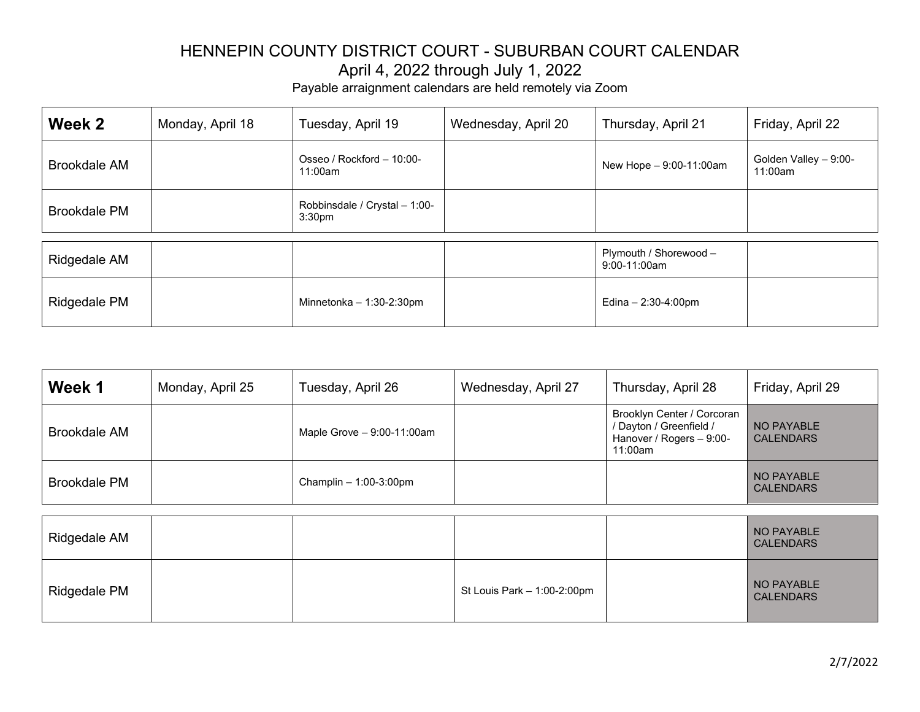| Week 2              | Monday, April 18 | Tuesday, April 19                                   | Wednesday, April 20 | Thursday, April 21       | Friday, April 22                 |
|---------------------|------------------|-----------------------------------------------------|---------------------|--------------------------|----------------------------------|
| <b>Brookdale AM</b> |                  | Osseo / Rockford - 10:00-<br>11:00am                |                     | New Hope - 9:00-11:00am  | Golden Valley - 9:00-<br>11:00am |
| <b>Brookdale PM</b> |                  | Robbinsdale / Crystal - 1:00-<br>3:30 <sub>pm</sub> |                     |                          |                                  |
|                     |                  |                                                     |                     | Plymouth / Shorewood -   |                                  |
| Ridgedale AM        |                  |                                                     |                     | $9:00-11:00am$           |                                  |
| Ridgedale PM        |                  | Minnetonka $-1:30-2:30$ pm                          |                     | Edina $- 2:30 - 4:00$ pm |                                  |

| Week 1              | Monday, April 25 | Tuesday, April 26            | Wednesday, April 27         | Thursday, April 28                                                                           | Friday, April 29               |
|---------------------|------------------|------------------------------|-----------------------------|----------------------------------------------------------------------------------------------|--------------------------------|
| <b>Brookdale AM</b> |                  | Maple Grove $-9:00-11:00$ am |                             | Brooklyn Center / Corcoran<br>/ Dayton / Greenfield /<br>Hanover / Rogers - 9:00-<br>11:00am | NO PAYABLE<br><b>CALENDARS</b> |
| <b>Brookdale PM</b> |                  | Champlin $-1:00-3:00$ pm     |                             |                                                                                              | NO PAYABLE<br><b>CALENDARS</b> |
|                     |                  |                              |                             |                                                                                              |                                |
| Ridgedale AM        |                  |                              |                             |                                                                                              | NO PAYABLE<br><b>CALENDARS</b> |
| Ridgedale PM        |                  |                              | St Louis Park - 1:00-2:00pm |                                                                                              | NO PAYABLE<br><b>CALENDARS</b> |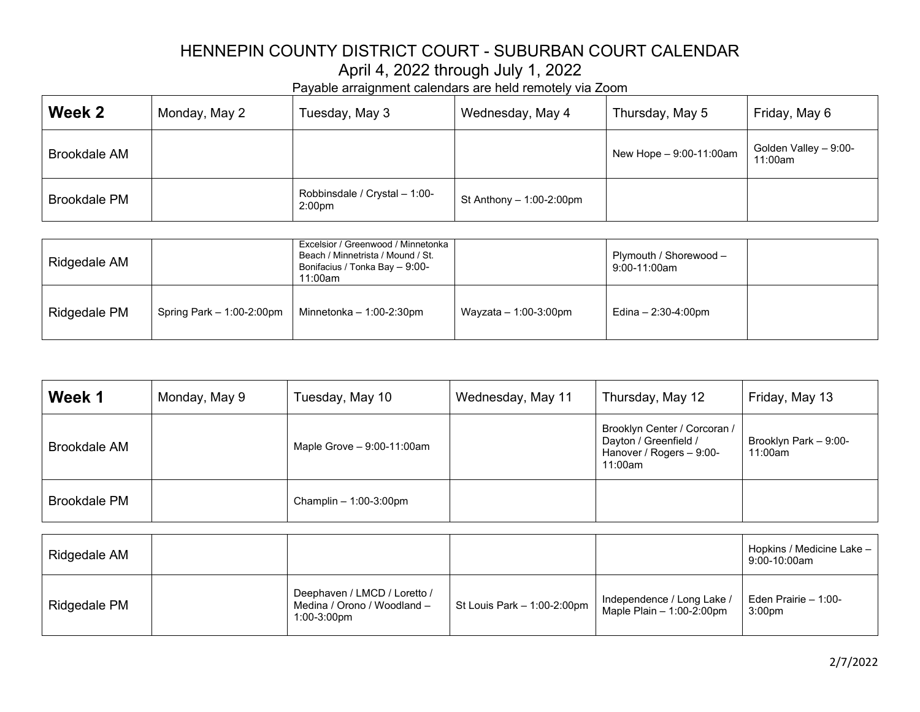| Week 2              | Monday, May 2 | Tuesday, May 3                                      | Wednesday, May 4           | Thursday, May 5           | Friday, May 6                    |
|---------------------|---------------|-----------------------------------------------------|----------------------------|---------------------------|----------------------------------|
| <b>Brookdale AM</b> |               |                                                     |                            | New Hope $-9:00-11:00$ am | Golden Valley - 9:00-<br>11:00am |
| <b>Brookdale PM</b> |               | Robbinsdale / Crystal - 1:00-<br>2:00 <sub>pm</sub> | St Anthony $-1:00-2:00$ pm |                           |                                  |

| Ridgedale AM |                             | Excelsior / Greenwood / Minnetonka  <br>Beach / Minnetrista / Mound / St.<br>Bonifacius / Tonka Bay - 9:00-<br>11:00am |                         | Plymouth / Shorewood -<br>9:00-11:00am |  |
|--------------|-----------------------------|------------------------------------------------------------------------------------------------------------------------|-------------------------|----------------------------------------|--|
| Ridgedale PM | Spring Park $-1:00-2:00$ pm | Minnetonka $-1:00-2:30$ pm                                                                                             | Wayzata $-1:00-3:00$ pm | Edina - 2:30-4:00pm                    |  |

| Week 1              | Monday, May 9 | Tuesday, May 10                                                            | Wednesday, May 11           | Thursday, May 12                                                                             | Friday, May 13                              |
|---------------------|---------------|----------------------------------------------------------------------------|-----------------------------|----------------------------------------------------------------------------------------------|---------------------------------------------|
| <b>Brookdale AM</b> |               | Maple Grove - 9:00-11:00am                                                 |                             | Brooklyn Center / Corcoran /<br>Dayton / Greenfield /<br>Hanover / Rogers - 9:00-<br>11:00am | Brooklyn Park - 9:00-<br>11:00am            |
| <b>Brookdale PM</b> |               | Champlin $-1:00-3:00$ pm                                                   |                             |                                                                                              |                                             |
|                     |               |                                                                            |                             |                                                                                              |                                             |
| Ridgedale AM        |               |                                                                            |                             |                                                                                              | Hopkins / Medicine Lake -<br>9:00-10:00am   |
| Ridgedale PM        |               | Deephaven / LMCD / Loretto /<br>Medina / Orono / Woodland -<br>1:00-3:00pm | St Louis Park - 1:00-2:00pm | Independence / Long Lake /<br>Maple Plain $-1:00-2:00$ pm                                    | Eden Prairie $-1:00-$<br>3:00 <sub>pm</sub> |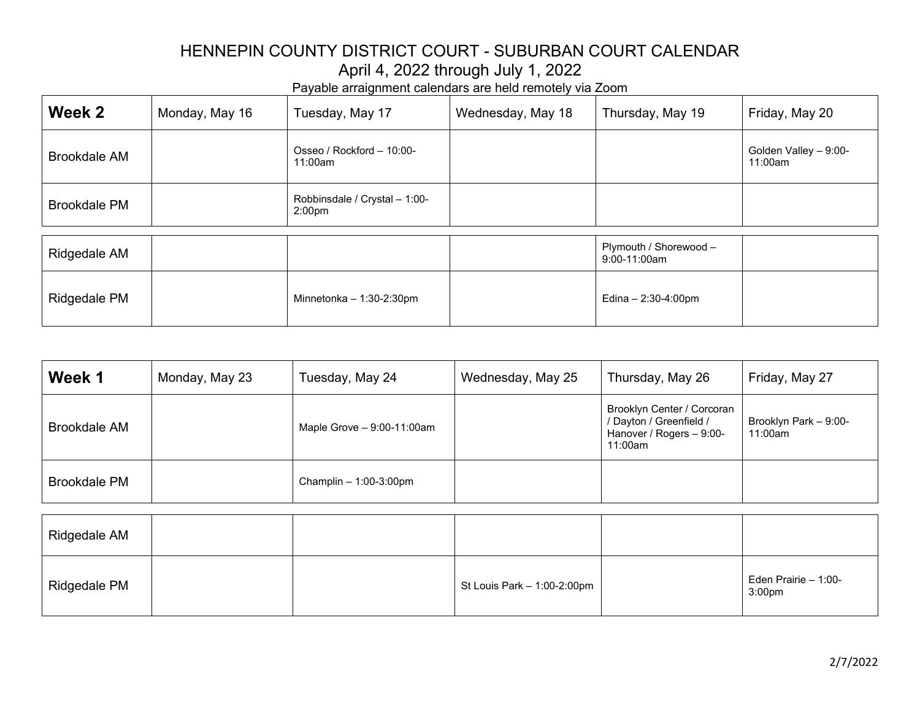| Week 2              | Monday, May 16 | Tuesday, May 17                                     | Wednesday, May 18 | Thursday, May 19       | Friday, May 20                   |
|---------------------|----------------|-----------------------------------------------------|-------------------|------------------------|----------------------------------|
| <b>Brookdale AM</b> |                | Osseo / Rockford - 10:00-<br>11:00am                |                   |                        | Golden Valley - 9:00-<br>11:00am |
| <b>Brookdale PM</b> |                | Robbinsdale / Crystal - 1:00-<br>2:00 <sub>pm</sub> |                   |                        |                                  |
|                     |                |                                                     |                   | Plymouth / Shorewood - |                                  |
| Ridgedale AM        |                |                                                     |                   | 9:00-11:00am           |                                  |
| Ridgedale PM        |                | Minnetonka $-1:30-2:30$ pm                          |                   | Edina - 2:30-4:00pm    |                                  |

| Week 1              | Monday, May 23 | Tuesday, May 24              | Wednesday, May 25 | Thursday, May 26                                                                             | Friday, May 27                   |
|---------------------|----------------|------------------------------|-------------------|----------------------------------------------------------------------------------------------|----------------------------------|
| <b>Brookdale AM</b> |                | Maple Grove $-9:00-11:00$ am |                   | Brooklyn Center / Corcoran<br>/ Dayton / Greenfield /<br>Hanover / Rogers - 9:00-<br>11:00am | Brooklyn Park - 9:00-<br>11:00am |
| <b>Brookdale PM</b> |                | Champlin $-1:00-3:00$ pm     |                   |                                                                                              |                                  |

| Ridgedale AM        |  |                             |                                            |
|---------------------|--|-----------------------------|--------------------------------------------|
| <b>Ridgedale PM</b> |  | St Louis Park - 1:00-2:00pm | Eden Prairie - 1:00-<br>3:00 <sub>pm</sub> |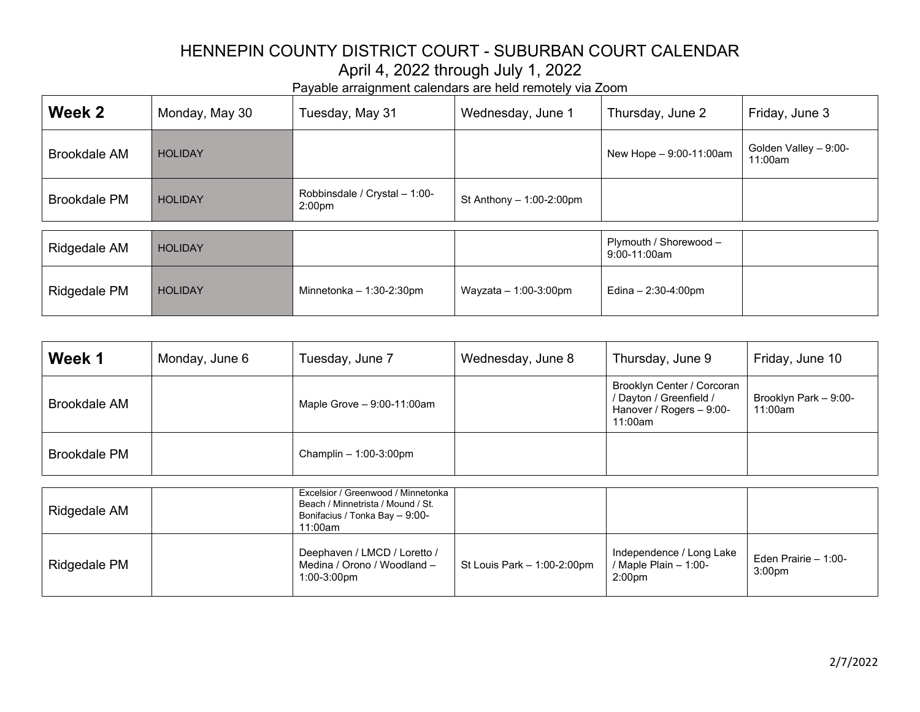| Week 2              | Monday, May 30 | Tuesday, May 31                                     | Wednesday, June 1          | Thursday, June 2                         | Friday, June 3                   |
|---------------------|----------------|-----------------------------------------------------|----------------------------|------------------------------------------|----------------------------------|
| <b>Brookdale AM</b> | <b>HOLIDAY</b> |                                                     |                            | New Hope - 9:00-11:00am                  | Golden Valley - 9:00-<br>11:00am |
| <b>Brookdale PM</b> | <b>HOLIDAY</b> | Robbinsdale / Crystal - 1:00-<br>2:00 <sub>pm</sub> | St Anthony $-1:00-2:00$ pm |                                          |                                  |
| Ridgedale AM        | <b>HOLIDAY</b> |                                                     |                            | Plymouth / Shorewood -<br>$9:00-11:00am$ |                                  |
|                     |                |                                                     |                            |                                          |                                  |
| Ridgedale PM        | <b>HOLIDAY</b> | Minnetonka $-1:30-2:30$ pm                          | Wayzata $-1:00-3:00$ pm    | Edina $- 2:30 - 4:00 \text{pm}$          |                                  |

| Week 1       | Monday, June 6 | Tuesday, June 7              | Wednesday, June 8 | Thursday, June 9                                                                             | Friday, June 10                  |
|--------------|----------------|------------------------------|-------------------|----------------------------------------------------------------------------------------------|----------------------------------|
| Brookdale AM |                | Maple Grove $-9:00-11:00$ am |                   | Brooklyn Center / Corcoran<br>/ Dayton / Greenfield /<br>Hanover / Rogers - 9:00-<br>11:00am | Brooklyn Park - 9:00-<br>11:00am |
| Brookdale PM |                | Champlin $-1:00-3:00$ pm     |                   |                                                                                              |                                  |

| Ridgedale AM | Excelsior / Greenwood / Minnetonka  <br>Beach / Minnetrista / Mound / St.<br>Bonifacius / Tonka Bay - 9:00-<br>11:00am |                             |                                                                           |                                             |
|--------------|------------------------------------------------------------------------------------------------------------------------|-----------------------------|---------------------------------------------------------------------------|---------------------------------------------|
| Ridgedale PM | Deephaven / LMCD / Loretto /<br>Medina / Orono / Woodland -<br>1:00-3:00pm                                             | St Louis Park - 1:00-2:00pm | Independence / Long Lake<br>/ Maple Plain $- 1:00-$<br>2:00 <sub>pm</sub> | Eden Prairie $-1:00-$<br>3:00 <sub>pm</sub> |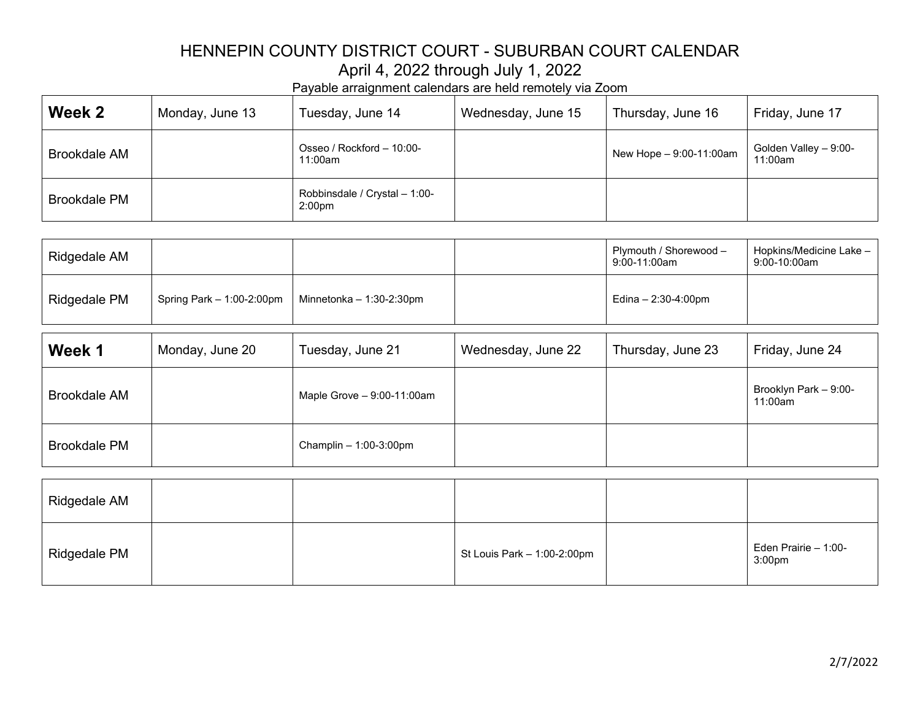| Week 2              | Monday, June 13 | Tuesday, June 14                                    | Wednesday, June 15 | Thursday, June 16         | Friday, June 17                  |
|---------------------|-----------------|-----------------------------------------------------|--------------------|---------------------------|----------------------------------|
| <b>Brookdale AM</b> |                 | Osseo / Rockford - 10:00-<br>11:00am                |                    | New Hope $-9:00-11:00$ am | Golden Valley - 9:00-<br>11:00am |
| <b>Brookdale PM</b> |                 | Robbinsdale / Crystal - 1:00-<br>2:00 <sub>pm</sub> |                    |                           |                                  |

| Ridgedale AM |                             |                            | Plymouth / Shorewood -<br>9:00-11:00am | Hopkins/Medicine Lake –<br>9:00-10:00am |
|--------------|-----------------------------|----------------------------|----------------------------------------|-----------------------------------------|
| Ridgedale PM | Spring Park $-1:00-2:00$ pm | Minnetonka $-1:30-2:30$ pm | Edina – 2:30-4:00pm                    |                                         |

| Week 1              | Monday, June 20 | Tuesday, June 21             | Wednesday, June 22 | Thursday, June 23 | Friday, June 24                  |
|---------------------|-----------------|------------------------------|--------------------|-------------------|----------------------------------|
| <b>Brookdale AM</b> |                 | Maple Grove $-9:00-11:00$ am |                    |                   | Brooklyn Park - 9:00-<br>11:00am |
| <b>Brookdale PM</b> |                 | Champlin $-1:00-3:00$ pm     |                    |                   |                                  |

| Ridgedale AM        |  |                               |                                            |
|---------------------|--|-------------------------------|--------------------------------------------|
| <b>Ridgedale PM</b> |  | St Louis Park $-1:00-2:00$ pm | Eden Prairie - 1:00-<br>3:00 <sub>pm</sub> |